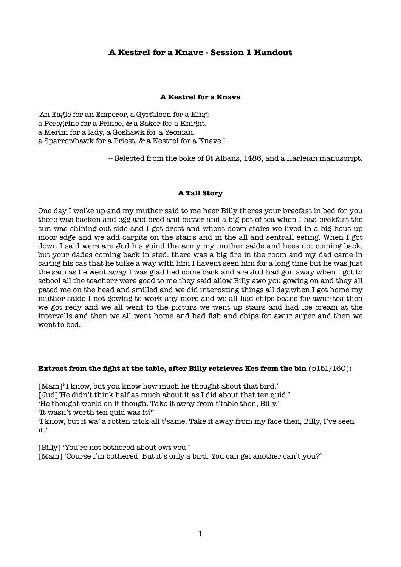# **A Kestrel for a Knave - Session 1 Handout**

#### **A Kestrel for a Knave**

'An Eagle for an Emperor, a Gyrfalcon for a King: a Peregrine for a Prince, & a Saker for a Knight, a Merlin for a lady, a Goshawk for a Yeoman, a Sparrowhawk for a Priest, & a Kestrel for a Knave.'

-- Selected from the boke of St Albans, 1486, and a Harleian manuscript.

### **A Tall Story**

One day I wolke up and my muther said to me heer Billy theres your brecfast in bed for you there was backen and egg and bred and butter and a big pot of tea when I had brekfast the sun was shining out side and I got drest and whent down stairs we lived in a big hous up moor edge and we add carpits on the stairs and in the all and sentrall eeting. When I got down I said wers are Jud his goind the army my muther saide and hees not coming back. but your dades coming back in sted. there was a big fire in the room and my dad came in caring his cas that he tulke a way with him I havent seen him for a long time but he was just the sam as he went away I was glad hed come back and are Jud had gon away when I got to school all the teacherr were good to me they said allow Billy awo you gowing on and they all pated me on the head and smilled and we did interesting things all day.when I got home my muther saide I not gowing to work any more and we all had chips beans for awur tea then we got redy and we all went to the picturs we went up stairs and had Ice cream at the intervells and then we all went home and had fish and chips for awur super and then we went to bed.

#### **Extract from the fight at the table, after Billy retrieves Kes from the bin** (p151/160)**:**

[Mam]"I know, but you know how much he thought about that bird.'

[Jud]'He didn't think half as much about it as I did about that ten quid.'

'He thought world on it though. Take it away from t'table then, Billy.'

'It wasn't worth ten quid was it?'

'I know, but it wa' a rotten trick all t'same. Take it away from my face then, Billy, I've seen it.'

[Billy] 'You're not bothered about owt you.' [Mam] 'Course I'm bothered. But it's only a bird. You can get another can't you?'